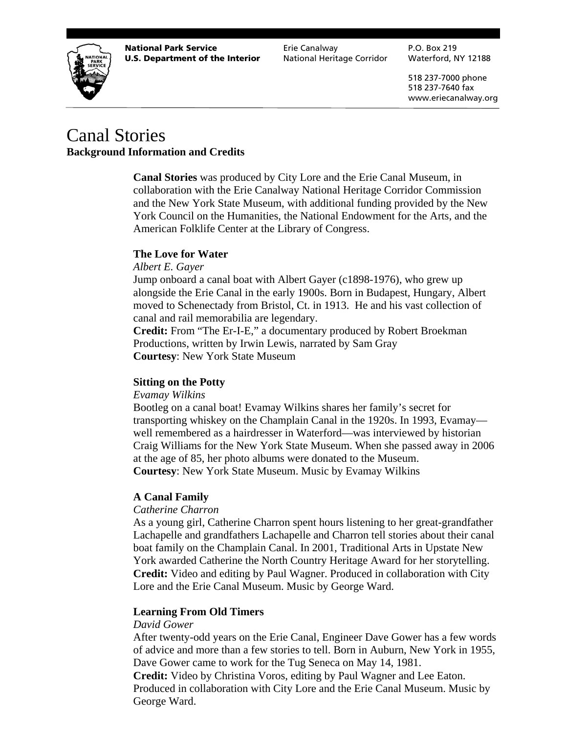

**National Park Service** The Erie Canalway The P.O. Box 219 **U.S. Department of the Interior** National Heritage Corridor Waterford, NY 12188

 518 237-7000 phone 518 237-7640 fax www.eriecanalway.org

# Canal Stories **Background Information and Credits**

**Canal Stories** was produced by City Lore and the Erie Canal Museum, in collaboration with the Erie Canalway National Heritage Corridor Commission and the New York State Museum, with additional funding provided by the New York Council on the Humanities, the National Endowment for the Arts, and the American Folklife Center at the Library of Congress.

# **The Love for Water**

# *Albert E. Gayer*

Jump onboard a canal boat with Albert Gayer (c1898-1976), who grew up alongside the Erie Canal in the early 1900s. Born in Budapest, Hungary, Albert moved to Schenectady from Bristol, Ct. in 1913. He and his vast collection of canal and rail memorabilia are legendary.

**Credit:** From "The Er-I-E," a documentary produced by Robert Broekman Productions, written by Irwin Lewis, narrated by Sam Gray **Courtesy**: New York State Museum

# **Sitting on the Potty**

*Evamay Wilkins*

Bootleg on a canal boat! Evamay Wilkins shares her family's secret for transporting whiskey on the Champlain Canal in the 1920s. In 1993, Evamay well remembered as a hairdresser in Waterford—was interviewed by historian Craig Williams for the New York State Museum. When she passed away in 2006 at the age of 85, her photo albums were donated to the Museum. **Courtesy**: New York State Museum. Music by Evamay Wilkins

# **A Canal Family**

#### *Catherine Charron*

As a young girl, Catherine Charron spent hours listening to her great-grandfather Lachapelle and grandfathers Lachapelle and Charron tell stories about their canal boat family on the Champlain Canal. In 2001, Traditional Arts in Upstate New York awarded Catherine the North Country Heritage Award for her storytelling. **Credit:** Video and editing by Paul Wagner. Produced in collaboration with City Lore and the Erie Canal Museum. Music by George Ward.

# **Learning From Old Timers**

#### *David Gower*

After twenty-odd years on the Erie Canal, Engineer Dave Gower has a few words of advice and more than a few stories to tell. Born in Auburn, New York in 1955, Dave Gower came to work for the Tug Seneca on May 14, 1981.

**Credit:** Video by Christina Voros, editing by Paul Wagner and Lee Eaton. Produced in collaboration with City Lore and the Erie Canal Museum. Music by George Ward.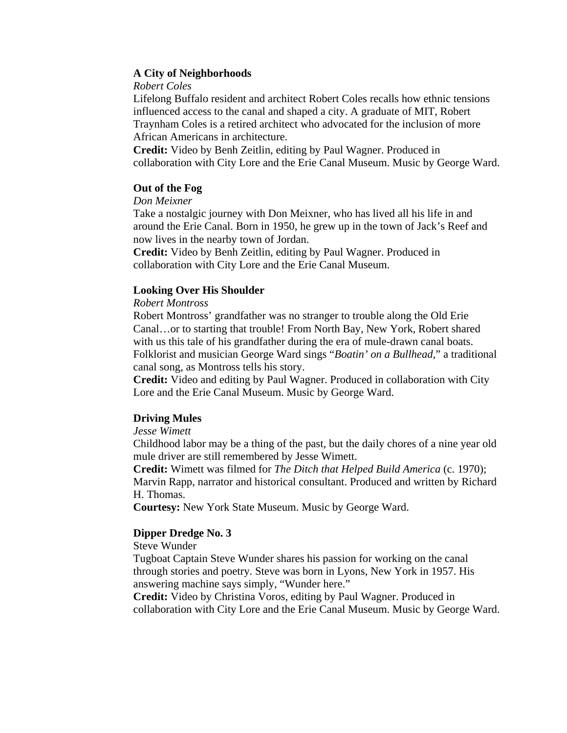# **A City of Neighborhoods**

# *Robert Coles*

Lifelong Buffalo resident and architect Robert Coles recalls how ethnic tensions influenced access to the canal and shaped a city. A graduate of MIT, Robert Traynham Coles is a retired architect who advocated for the inclusion of more African Americans in architecture.

**Credit:** Video by Benh Zeitlin, editing by Paul Wagner. Produced in collaboration with City Lore and the Erie Canal Museum. Music by George Ward.

# **Out of the Fog**

# *Don Meixner*

Take a nostalgic journey with Don Meixner, who has lived all his life in and around the Erie Canal. Born in 1950, he grew up in the town of Jack's Reef and now lives in the nearby town of Jordan.

**Credit:** Video by Benh Zeitlin, editing by Paul Wagner. Produced in collaboration with City Lore and the Erie Canal Museum.

# **Looking Over His Shoulder**

# *Robert Montross*

Robert Montross' grandfather was no stranger to trouble along the Old Erie Canal…or to starting that trouble! From North Bay, New York, Robert shared with us this tale of his grandfather during the era of mule-drawn canal boats. Folklorist and musician George Ward sings "*Boatin' on a Bullhead*," a traditional canal song, as Montross tells his story.

**Credit:** Video and editing by Paul Wagner. Produced in collaboration with City Lore and the Erie Canal Museum. Music by George Ward.

# **Driving Mules**

# *Jesse Wimett*

Childhood labor may be a thing of the past, but the daily chores of a nine year old mule driver are still remembered by Jesse Wimett.

**Credit:** Wimett was filmed for *The Ditch that Helped Build America* (c. 1970); Marvin Rapp, narrator and historical consultant. Produced and written by Richard H. Thomas.

**Courtesy:** New York State Museum. Music by George Ward.

# **Dipper Dredge No. 3**

Steve Wunder

Tugboat Captain Steve Wunder shares his passion for working on the canal through stories and poetry. Steve was born in Lyons, New York in 1957. His answering machine says simply, "Wunder here."

**Credit:** Video by Christina Voros, editing by Paul Wagner. Produced in collaboration with City Lore and the Erie Canal Museum. Music by George Ward.